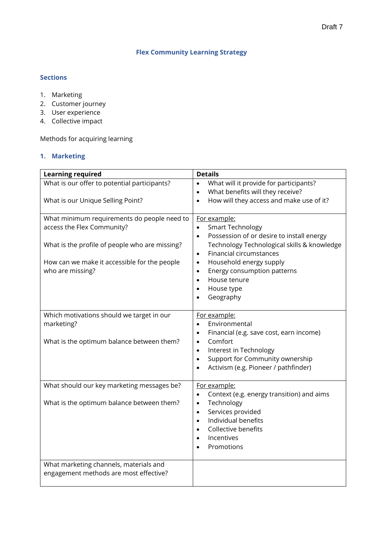# **Flex Community Learning Strategy**

## **Sections**

- 1. Marketing
- 2. Customer journey
- 3. User experience
- 4. Collective impact

Methods for acquiring learning

## **1. Marketing**

| <b>Learning required</b>                                                                                                                                                                        | <b>Details</b>                                                                                                                                                                                                                                                                                                         |
|-------------------------------------------------------------------------------------------------------------------------------------------------------------------------------------------------|------------------------------------------------------------------------------------------------------------------------------------------------------------------------------------------------------------------------------------------------------------------------------------------------------------------------|
| What is our offer to potential participants?                                                                                                                                                    | What will it provide for participants?<br>$\bullet$                                                                                                                                                                                                                                                                    |
|                                                                                                                                                                                                 | What benefits will they receive?<br>$\bullet$                                                                                                                                                                                                                                                                          |
| What is our Unique Selling Point?                                                                                                                                                               | How will they access and make use of it?<br>$\bullet$                                                                                                                                                                                                                                                                  |
| What minimum requirements do people need to<br>access the Flex Community?<br>What is the profile of people who are missing?<br>How can we make it accessible for the people<br>who are missing? | For example:<br><b>Smart Technology</b><br>$\bullet$<br>Possession of or desire to install energy<br>$\bullet$<br>Technology Technological skills & knowledge<br>Financial circumstances<br>$\bullet$<br>Household energy supply<br>$\bullet$<br>Energy consumption patterns<br>$\bullet$<br>House tenure<br>$\bullet$ |
|                                                                                                                                                                                                 | House type<br>$\bullet$<br>Geography                                                                                                                                                                                                                                                                                   |
| Which motivations should we target in our<br>marketing?<br>What is the optimum balance between them?                                                                                            | For example:<br>Environmental<br>$\bullet$<br>Financial (e.g. save cost, earn income)<br>$\bullet$<br>Comfort<br>$\bullet$<br>Interest in Technology<br>$\bullet$<br>Support for Community ownership<br>$\bullet$<br>Activism (e.g. Pioneer / pathfinder)                                                              |
| What should our key marketing messages be?<br>What is the optimum balance between them?                                                                                                         | For example:<br>Context (e.g. energy transition) and aims<br>$\bullet$<br>Technology<br>$\bullet$<br>Services provided<br>$\bullet$<br>Individual benefits<br>$\bullet$<br>Collective benefits<br>$\bullet$<br>Incentives<br>$\bullet$<br>Promotions                                                                   |
| What marketing channels, materials and<br>engagement methods are most effective?                                                                                                                |                                                                                                                                                                                                                                                                                                                        |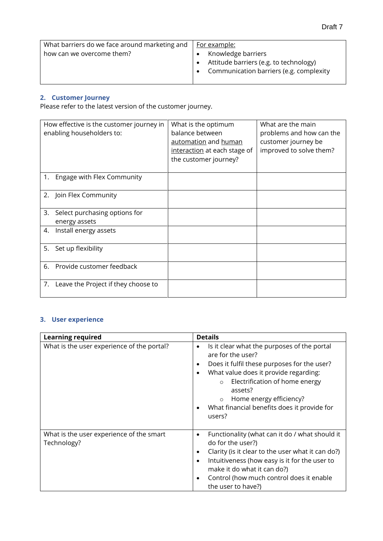| What barriers do we face around marketing and $\parallel$ For example: |                                         |
|------------------------------------------------------------------------|-----------------------------------------|
| how can we overcome them?                                              | Knowledge barriers                      |
|                                                                        | Attitude barriers (e.g. to technology)  |
|                                                                        | Communication barriers (e.g. complexity |
|                                                                        |                                         |

# **2. Customer Journey**

Please refer to the latest version of the customer journey.

| How effective is the customer journey in<br>enabling householders to: | What is the optimum<br>balance between<br>automation and human<br>interaction at each stage of<br>the customer journey? | What are the main<br>problems and how can the<br>customer journey be<br>improved to solve them? |
|-----------------------------------------------------------------------|-------------------------------------------------------------------------------------------------------------------------|-------------------------------------------------------------------------------------------------|
| Engage with Flex Community<br>1.                                      |                                                                                                                         |                                                                                                 |
| 2. Join Flex Community                                                |                                                                                                                         |                                                                                                 |
| 3.<br>Select purchasing options for<br>energy assets                  |                                                                                                                         |                                                                                                 |
| Install energy assets<br>4.                                           |                                                                                                                         |                                                                                                 |
| Set up flexibility<br>5.                                              |                                                                                                                         |                                                                                                 |
| Provide customer feedback<br>6.                                       |                                                                                                                         |                                                                                                 |
| Leave the Project if they choose to<br>7.                             |                                                                                                                         |                                                                                                 |

# **3. User experience**

| <b>Learning required</b>                                | <b>Details</b>                                                                                                                                                                                                                                                                                                                                                |
|---------------------------------------------------------|---------------------------------------------------------------------------------------------------------------------------------------------------------------------------------------------------------------------------------------------------------------------------------------------------------------------------------------------------------------|
| What is the user experience of the portal?              | Is it clear what the purposes of the portal<br>$\bullet$<br>are for the user?<br>Does it fulfil these purposes for the user?<br>٠<br>What value does it provide regarding:<br>$\bullet$<br>Electrification of home energy<br>$\Omega$<br>assets?<br>Home energy efficiency?<br>$\Omega$<br>What financial benefits does it provide for<br>$\bullet$<br>users? |
| What is the user experience of the smart<br>Technology? | Functionality (what can it do / what should it<br>$\bullet$<br>do for the user?)<br>Clarity (is it clear to the user what it can do?)<br>$\bullet$<br>Intuitiveness (how easy is it for the user to<br>$\bullet$<br>make it do what it can do?)<br>Control (how much control does it enable<br>$\bullet$<br>the user to have?)                                |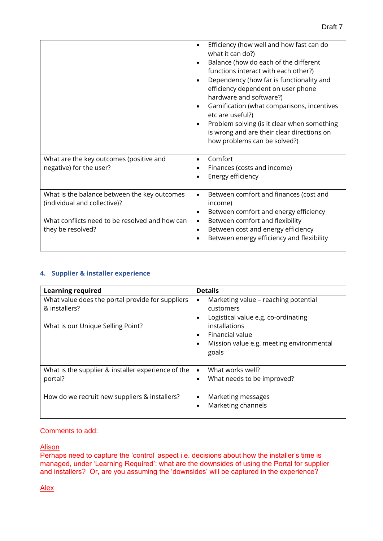|                                                | Efficiency (how well and how fast can do<br>$\bullet$<br>what it can do?)<br>Balance (how do each of the different<br>$\bullet$<br>functions interact with each other?)<br>Dependency (how far is functionality and<br>efficiency dependent on user phone<br>hardware and software?)<br>Gamification (what comparisons, incentives<br>$\bullet$<br>etc are useful?)<br>Problem solving (is it clear when something<br>$\bullet$<br>is wrong and are their clear directions on<br>how problems can be solved?) |
|------------------------------------------------|---------------------------------------------------------------------------------------------------------------------------------------------------------------------------------------------------------------------------------------------------------------------------------------------------------------------------------------------------------------------------------------------------------------------------------------------------------------------------------------------------------------|
| What are the key outcomes (positive and        | Comfort<br>$\bullet$                                                                                                                                                                                                                                                                                                                                                                                                                                                                                          |
| negative) for the user?                        | Finances (costs and income)<br>$\bullet$                                                                                                                                                                                                                                                                                                                                                                                                                                                                      |
|                                                | Energy efficiency<br>$\bullet$                                                                                                                                                                                                                                                                                                                                                                                                                                                                                |
| What is the balance between the key outcomes   | Between comfort and finances (cost and<br>$\bullet$                                                                                                                                                                                                                                                                                                                                                                                                                                                           |
| (individual and collective)?                   | income)                                                                                                                                                                                                                                                                                                                                                                                                                                                                                                       |
|                                                | Between comfort and energy efficiency<br>$\bullet$                                                                                                                                                                                                                                                                                                                                                                                                                                                            |
| What conflicts need to be resolved and how can | Between comfort and flexibility<br>$\bullet$                                                                                                                                                                                                                                                                                                                                                                                                                                                                  |
| they be resolved?                              | Between cost and energy efficiency<br>$\bullet$                                                                                                                                                                                                                                                                                                                                                                                                                                                               |
|                                                | Between energy efficiency and flexibility<br>$\bullet$                                                                                                                                                                                                                                                                                                                                                                                                                                                        |
|                                                |                                                                                                                                                                                                                                                                                                                                                                                                                                                                                                               |

### **4. Supplier & installer experience**

| <b>Learning required</b>                                          | <b>Details</b>                                                                                                     |
|-------------------------------------------------------------------|--------------------------------------------------------------------------------------------------------------------|
| What value does the portal provide for suppliers<br>& installers? | Marketing value – reaching potential<br>$\bullet$<br>customers<br>Logistical value e.g. co-ordinating<br>$\bullet$ |
| What is our Unique Selling Point?                                 | installations<br>Financial value<br>$\bullet$<br>Mission value e.g. meeting environmental<br>$\bullet$<br>goals    |
| What is the supplier & installer experience of the<br>portal?     | What works well?<br>$\bullet$<br>What needs to be improved?<br>$\bullet$                                           |
| How do we recruit new suppliers & installers?                     | Marketing messages<br>$\bullet$<br>Marketing channels<br>$\bullet$                                                 |

#### Comments to add:

## Alison

Perhaps need to capture the 'control' aspect i.e. decisions about how the installer's time is managed, under 'Learning Required': what are the downsides of using the Portal for supplier and installers? Or, are you assuming the 'downsides' will be captured in the experience?

Alex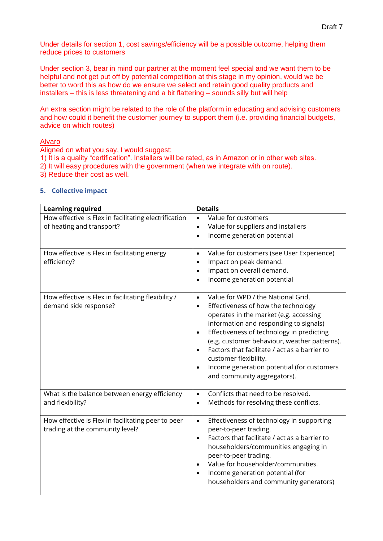Under details for section 1, cost savings/efficiency will be a possible outcome, helping them reduce prices to customers

Under section 3, bear in mind our partner at the moment feel special and we want them to be helpful and not get put off by potential competition at this stage in my opinion, would we be better to word this as how do we ensure we select and retain good quality products and installers – this is less threatening and a bit flattering – sounds silly but will help

An extra section might be related to the role of the platform in educating and advising customers and how could it benefit the customer journey to support them (i.e. providing financial budgets, advice on which routes)

#### Alvaro

Aligned on what you say, I would suggest:

- 1) It is a quality "certification". Installers will be rated, as in Amazon or in other web sites.
- 2) It will easy procedures with the government (when we integrate with on route).
- 3) Reduce their cost as well.

#### **5. Collective impact**

| <b>Learning required</b>                                                              | <b>Details</b>                                                                                                                                                                                                                                                                                                                                                                                                                                                        |
|---------------------------------------------------------------------------------------|-----------------------------------------------------------------------------------------------------------------------------------------------------------------------------------------------------------------------------------------------------------------------------------------------------------------------------------------------------------------------------------------------------------------------------------------------------------------------|
| How effective is Flex in facilitating electrification<br>of heating and transport?    | Value for customers<br>$\bullet$<br>Value for suppliers and installers<br>$\bullet$<br>Income generation potential<br>$\bullet$                                                                                                                                                                                                                                                                                                                                       |
| How effective is Flex in facilitating energy<br>efficiency?                           | Value for customers (see User Experience)<br>$\bullet$<br>Impact on peak demand.<br>$\bullet$<br>Impact on overall demand.<br>$\bullet$<br>Income generation potential<br>$\bullet$                                                                                                                                                                                                                                                                                   |
| How effective is Flex in facilitating flexibility /<br>demand side response?          | Value for WPD / the National Grid.<br>$\bullet$<br>Effectiveness of how the technology<br>$\bullet$<br>operates in the market (e.g. accessing<br>information and responding to signals)<br>Effectiveness of technology in predicting<br>$\bullet$<br>(e.g. customer behaviour, weather patterns).<br>Factors that facilitate / act as a barrier to<br>customer flexibility.<br>Income generation potential (for customers<br>$\bullet$<br>and community aggregators). |
| What is the balance between energy efficiency<br>and flexibility?                     | Conflicts that need to be resolved.<br>$\bullet$<br>Methods for resolving these conflicts.<br>$\bullet$                                                                                                                                                                                                                                                                                                                                                               |
| How effective is Flex in facilitating peer to peer<br>trading at the community level? | Effectiveness of technology in supporting<br>$\bullet$<br>peer-to-peer trading.<br>Factors that facilitate / act as a barrier to<br>$\bullet$<br>householders/communities engaging in<br>peer-to-peer trading.<br>Value for householder/communities.<br>Income generation potential (for<br>$\bullet$<br>householders and community generators)                                                                                                                       |